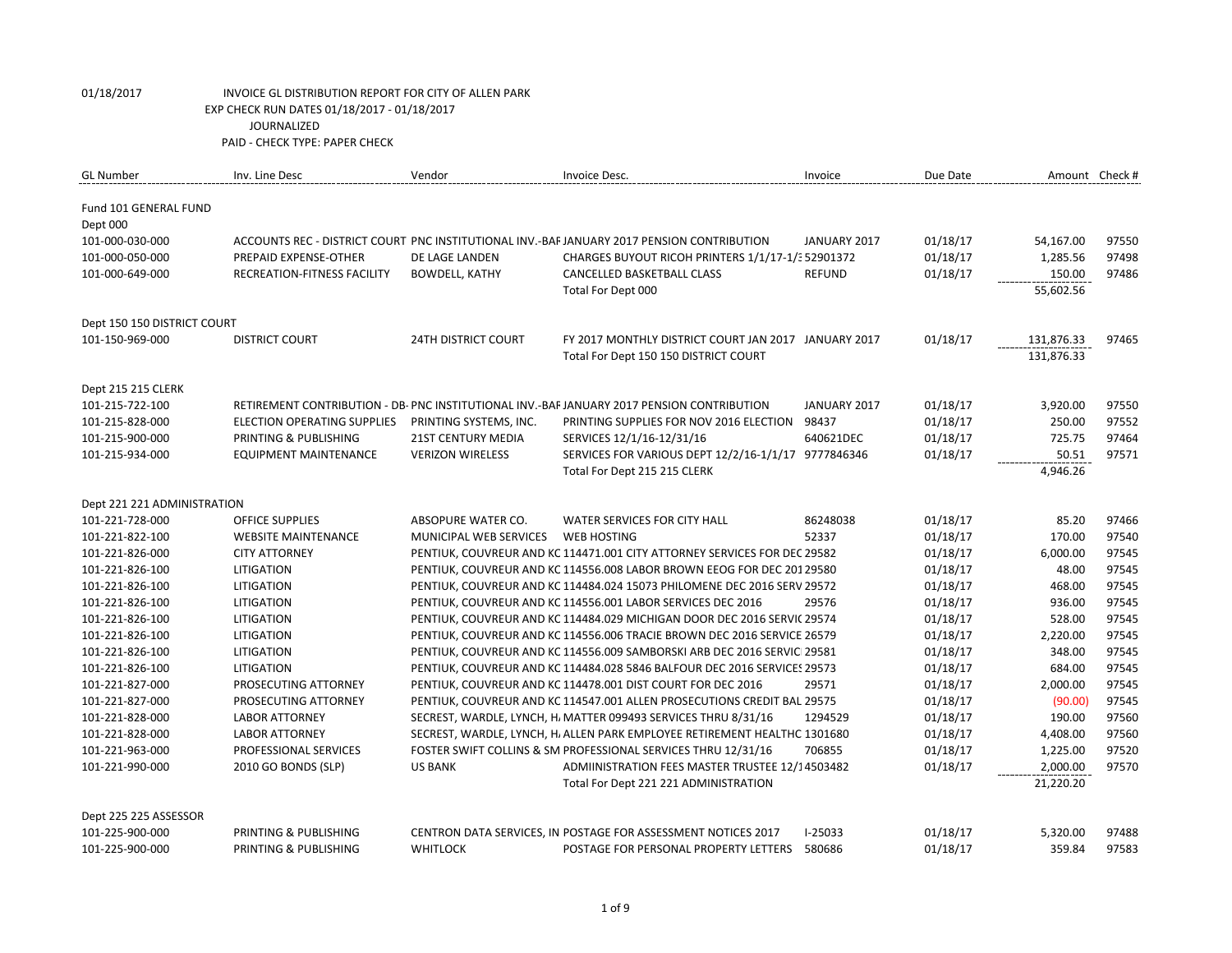| <b>GL Number</b>                  | Inv. Line Desc                     | Vendor                        | Invoice Desc.                                                                              | Invoice      | Due Date |            | Amount Check # |
|-----------------------------------|------------------------------------|-------------------------------|--------------------------------------------------------------------------------------------|--------------|----------|------------|----------------|
| Fund 101 GENERAL FUND<br>Dept 000 |                                    |                               |                                                                                            |              |          |            |                |
| 101-000-030-000                   |                                    |                               | ACCOUNTS REC - DISTRICT COURT PNC INSTITUTIONAL INV.-BAF JANUARY 2017 PENSION CONTRIBUTION | JANUARY 2017 | 01/18/17 | 54,167.00  | 97550          |
| 101-000-050-000                   | PREPAID EXPENSE-OTHER              | DE LAGE LANDEN                | CHARGES BUYOUT RICOH PRINTERS 1/1/17-1/3 52901372                                          |              | 01/18/17 | 1,285.56   | 97498          |
| 101-000-649-000                   | RECREATION-FITNESS FACILITY        | <b>BOWDELL, KATHY</b>         | CANCELLED BASKETBALL CLASS                                                                 | REFUND       | 01/18/17 | 150.00     | 97486          |
|                                   |                                    |                               | Total For Dept 000                                                                         |              |          | 55,602.56  |                |
| Dept 150 150 DISTRICT COURT       |                                    |                               |                                                                                            |              |          |            |                |
| 101-150-969-000                   | <b>DISTRICT COURT</b>              | <b>24TH DISTRICT COURT</b>    | FY 2017 MONTHLY DISTRICT COURT JAN 2017 JANUARY 2017                                       |              | 01/18/17 | 131,876.33 | 97465          |
|                                   |                                    |                               | Total For Dept 150 150 DISTRICT COURT                                                      |              |          | 131,876.33 |                |
| Dept 215 215 CLERK                |                                    |                               |                                                                                            |              |          |            |                |
| 101-215-722-100                   |                                    |                               | RETIREMENT CONTRIBUTION - DB- PNC INSTITUTIONAL INV.-BAF JANUARY 2017 PENSION CONTRIBUTION | JANUARY 2017 | 01/18/17 | 3,920.00   | 97550          |
| 101-215-828-000                   | <b>ELECTION OPERATING SUPPLIES</b> | PRINTING SYSTEMS, INC.        | PRINTING SUPPLIES FOR NOV 2016 ELECTION                                                    | 98437        | 01/18/17 | 250.00     | 97552          |
| 101-215-900-000                   | PRINTING & PUBLISHING              | <b>21ST CENTURY MEDIA</b>     | SERVICES 12/1/16-12/31/16                                                                  | 640621DEC    | 01/18/17 | 725.75     | 97464          |
| 101-215-934-000                   | EQUIPMENT MAINTENANCE              | <b>VERIZON WIRELESS</b>       | SERVICES FOR VARIOUS DEPT 12/2/16-1/1/17 9777846346                                        |              | 01/18/17 | 50.51      | 97571          |
|                                   |                                    |                               | Total For Dept 215 215 CLERK                                                               |              |          | 4,946.26   |                |
| Dept 221 221 ADMINISTRATION       |                                    |                               |                                                                                            |              |          |            |                |
| 101-221-728-000                   | <b>OFFICE SUPPLIES</b>             | ABSOPURE WATER CO.            | WATER SERVICES FOR CITY HALL                                                               | 86248038     | 01/18/17 | 85.20      | 97466          |
| 101-221-822-100                   | <b>WEBSITE MAINTENANCE</b>         | <b>MUNICIPAL WEB SERVICES</b> | WEB HOSTING                                                                                | 52337        | 01/18/17 | 170.00     | 97540          |
| 101-221-826-000                   | <b>CITY ATTORNEY</b>               |                               | PENTIUK, COUVREUR AND KC 114471.001 CITY ATTORNEY SERVICES FOR DEC 29582                   |              | 01/18/17 | 6,000.00   | 97545          |
| 101-221-826-100                   | <b>LITIGATION</b>                  |                               | PENTIUK, COUVREUR AND KC 114556.008 LABOR BROWN EEOG FOR DEC 20129580                      |              | 01/18/17 | 48.00      | 97545          |
| 101-221-826-100                   | <b>LITIGATION</b>                  |                               | PENTIUK, COUVREUR AND KC 114484.024 15073 PHILOMENE DEC 2016 SERV 29572                    |              | 01/18/17 | 468.00     | 97545          |
| 101-221-826-100                   | LITIGATION                         |                               | PENTIUK, COUVREUR AND KC 114556.001 LABOR SERVICES DEC 2016                                | 29576        | 01/18/17 | 936.00     | 97545          |
| 101-221-826-100                   | <b>LITIGATION</b>                  |                               | PENTIUK, COUVREUR AND KC 114484.029 MICHIGAN DOOR DEC 2016 SERVIC 29574                    |              | 01/18/17 | 528.00     | 97545          |
| 101-221-826-100                   | <b>LITIGATION</b>                  |                               | PENTIUK, COUVREUR AND KC 114556.006 TRACIE BROWN DEC 2016 SERVICE 26579                    |              | 01/18/17 | 2,220.00   | 97545          |
| 101-221-826-100                   | <b>LITIGATION</b>                  |                               | PENTIUK, COUVREUR AND KC 114556.009 SAMBORSKI ARB DEC 2016 SERVIC 29581                    |              | 01/18/17 | 348.00     | 97545          |
| 101-221-826-100                   | LITIGATION                         |                               | PENTIUK, COUVREUR AND KC 114484.028 5846 BALFOUR DEC 2016 SERVICES 29573                   |              | 01/18/17 | 684.00     | 97545          |
| 101-221-827-000                   | PROSECUTING ATTORNEY               |                               | PENTIUK, COUVREUR AND KC 114478.001 DIST COURT FOR DEC 2016                                | 29571        | 01/18/17 | 2,000.00   | 97545          |
| 101-221-827-000                   | PROSECUTING ATTORNEY               |                               | PENTIUK, COUVREUR AND KC 114547.001 ALLEN PROSECUTIONS CREDIT BAL 29575                    |              | 01/18/17 | (90.00)    | 97545          |
| 101-221-828-000                   | <b>LABOR ATTORNEY</b>              |                               | SECREST, WARDLE, LYNCH, H. MATTER 099493 SERVICES THRU 8/31/16                             | 1294529      | 01/18/17 | 190.00     | 97560          |
| 101-221-828-000                   | <b>LABOR ATTORNEY</b>              |                               | SECREST, WARDLE, LYNCH, H, ALLEN PARK EMPLOYEE RETIREMENT HEALTHC 1301680                  |              | 01/18/17 | 4,408.00   | 97560          |
| 101-221-963-000                   | PROFESSIONAL SERVICES              |                               | FOSTER SWIFT COLLINS & SM PROFESSIONAL SERVICES THRU 12/31/16                              | 706855       | 01/18/17 | 1,225.00   | 97520          |
| 101-221-990-000                   | 2010 GO BONDS (SLP)                | <b>US BANK</b>                | ADMIINISTRATION FEES MASTER TRUSTEE 12/14503482                                            |              | 01/18/17 | 2,000.00   | 97570          |
|                                   |                                    |                               | Total For Dept 221 221 ADMINISTRATION                                                      |              |          | 21,220.20  |                |
| Dept 225 225 ASSESSOR             |                                    |                               |                                                                                            |              |          |            |                |
| 101-225-900-000                   | PRINTING & PUBLISHING              |                               | CENTRON DATA SERVICES, IN POSTAGE FOR ASSESSMENT NOTICES 2017                              | $I-25033$    | 01/18/17 | 5,320.00   | 97488          |
| 101-225-900-000                   | PRINTING & PUBLISHING              | <b>WHITLOCK</b>               | POSTAGE FOR PERSONAL PROPERTY LETTERS                                                      | 580686       | 01/18/17 | 359.84     | 97583          |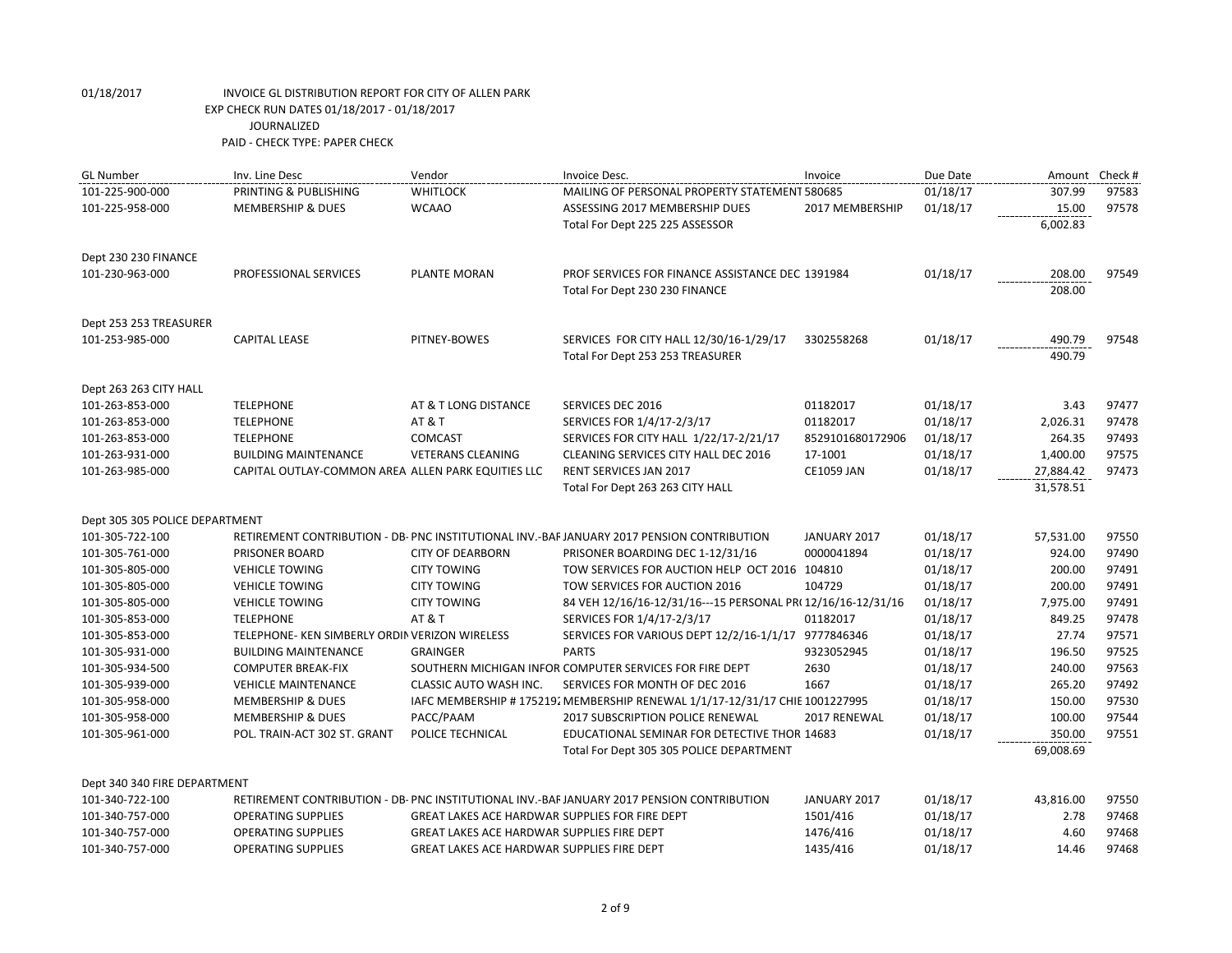| <b>GL Number</b>               | Inv. Line Desc                                     | Vendor                                                | Invoice Desc.                                                                              | Invoice           | Due Date | Amount Check # |       |
|--------------------------------|----------------------------------------------------|-------------------------------------------------------|--------------------------------------------------------------------------------------------|-------------------|----------|----------------|-------|
| 101-225-900-000                | PRINTING & PUBLISHING                              | <b>WHITLOCK</b>                                       | MAILING OF PERSONAL PROPERTY STATEMENT 580685                                              |                   | 01/18/17 | 307.99         | 97583 |
| 101-225-958-000                | <b>MEMBERSHIP &amp; DUES</b>                       | <b>WCAAO</b>                                          | ASSESSING 2017 MEMBERSHIP DUES                                                             | 2017 MEMBERSHIP   | 01/18/17 | 15.00          | 97578 |
|                                |                                                    |                                                       | Total For Dept 225 225 ASSESSOR                                                            |                   |          | 6,002.83       |       |
| Dept 230 230 FINANCE           |                                                    |                                                       |                                                                                            |                   |          |                |       |
| 101-230-963-000                | PROFESSIONAL SERVICES                              | PLANTE MORAN                                          | PROF SERVICES FOR FINANCE ASSISTANCE DEC 1391984                                           |                   | 01/18/17 | 208.00         | 97549 |
|                                |                                                    |                                                       | Total For Dept 230 230 FINANCE                                                             |                   |          | 208.00         |       |
| Dept 253 253 TREASURER         |                                                    |                                                       |                                                                                            |                   |          |                |       |
| 101-253-985-000                | <b>CAPITAL LEASE</b>                               | PITNEY-BOWES                                          | SERVICES FOR CITY HALL 12/30/16-1/29/17                                                    | 3302558268        | 01/18/17 | 490.79         | 97548 |
|                                |                                                    |                                                       | Total For Dept 253 253 TREASURER                                                           |                   |          | 490.79         |       |
| Dept 263 263 CITY HALL         |                                                    |                                                       |                                                                                            |                   |          |                |       |
| 101-263-853-000                | <b>TELEPHONE</b>                                   | AT & T LONG DISTANCE                                  | SERVICES DEC 2016                                                                          | 01182017          | 01/18/17 | 3.43           | 97477 |
| 101-263-853-000                | <b>TELEPHONE</b>                                   | <b>AT &amp; T</b>                                     | SERVICES FOR 1/4/17-2/3/17                                                                 | 01182017          | 01/18/17 | 2,026.31       | 97478 |
| 101-263-853-000                | <b>TELEPHONE</b>                                   | <b>COMCAST</b>                                        | SERVICES FOR CITY HALL 1/22/17-2/21/17                                                     | 8529101680172906  | 01/18/17 | 264.35         | 97493 |
| 101-263-931-000                | <b>BUILDING MAINTENANCE</b>                        | <b>VETERANS CLEANING</b>                              | CLEANING SERVICES CITY HALL DEC 2016                                                       | 17-1001           | 01/18/17 | 1,400.00       | 97575 |
| 101-263-985-000                | CAPITAL OUTLAY-COMMON AREA ALLEN PARK EQUITIES LLC |                                                       | <b>RENT SERVICES JAN 2017</b>                                                              | <b>CE1059 JAN</b> | 01/18/17 | 27,884.42      | 97473 |
|                                |                                                    |                                                       | Total For Dept 263 263 CITY HALL                                                           |                   |          | 31,578.51      |       |
| Dept 305 305 POLICE DEPARTMENT |                                                    |                                                       |                                                                                            |                   |          |                |       |
| 101-305-722-100                |                                                    |                                                       | RETIREMENT CONTRIBUTION - DB- PNC INSTITUTIONAL INV.-BAF JANUARY 2017 PENSION CONTRIBUTION | JANUARY 2017      | 01/18/17 | 57,531.00      | 97550 |
| 101-305-761-000                | PRISONER BOARD                                     | <b>CITY OF DEARBORN</b>                               | PRISONER BOARDING DEC 1-12/31/16                                                           | 0000041894        | 01/18/17 | 924.00         | 97490 |
| 101-305-805-000                | <b>VEHICLE TOWING</b>                              | <b>CITY TOWING</b>                                    | TOW SERVICES FOR AUCTION HELP OCT 2016 104810                                              |                   | 01/18/17 | 200.00         | 97491 |
| 101-305-805-000                | <b>VEHICLE TOWING</b>                              | <b>CITY TOWING</b>                                    | TOW SERVICES FOR AUCTION 2016                                                              | 104729            | 01/18/17 | 200.00         | 97491 |
| 101-305-805-000                | <b>VEHICLE TOWING</b>                              | <b>CITY TOWING</b>                                    | 84 VEH 12/16/16-12/31/16---15 PERSONAL PR(12/16/16-12/31/16                                |                   | 01/18/17 | 7,975.00       | 97491 |
| 101-305-853-000                | <b>TELEPHONE</b>                                   | AT&T                                                  | SERVICES FOR 1/4/17-2/3/17                                                                 | 01182017          | 01/18/17 | 849.25         | 97478 |
| 101-305-853-000                | TELEPHONE- KEN SIMBERLY ORDIN VERIZON WIRELESS     |                                                       | SERVICES FOR VARIOUS DEPT 12/2/16-1/1/17 9777846346                                        |                   | 01/18/17 | 27.74          | 97571 |
| 101-305-931-000                | <b>BUILDING MAINTENANCE</b>                        | <b>GRAINGER</b>                                       | <b>PARTS</b>                                                                               | 9323052945        | 01/18/17 | 196.50         | 97525 |
| 101-305-934-500                | <b>COMPUTER BREAK-FIX</b>                          |                                                       | SOUTHERN MICHIGAN INFOR COMPUTER SERVICES FOR FIRE DEPT                                    | 2630              | 01/18/17 | 240.00         | 97563 |
| 101-305-939-000                | <b>VEHICLE MAINTENANCE</b>                         | CLASSIC AUTO WASH INC.                                | SERVICES FOR MONTH OF DEC 2016                                                             | 1667              | 01/18/17 | 265.20         | 97492 |
| 101-305-958-000                | <b>MEMBERSHIP &amp; DUES</b>                       |                                                       | IAFC MEMBERSHIP # 175219. MEMBERSHIP RENEWAL 1/1/17-12/31/17 CHIE 1001227995               |                   | 01/18/17 | 150.00         | 97530 |
| 101-305-958-000                | <b>MEMBERSHIP &amp; DUES</b>                       | PACC/PAAM                                             | 2017 SUBSCRIPTION POLICE RENEWAL                                                           | 2017 RENEWAL      | 01/18/17 | 100.00         | 97544 |
| 101-305-961-000                | POL. TRAIN-ACT 302 ST. GRANT                       | POLICE TECHNICAL                                      | EDUCATIONAL SEMINAR FOR DETECTIVE THOR 14683                                               |                   | 01/18/17 | 350.00         | 97551 |
|                                |                                                    |                                                       | Total For Dept 305 305 POLICE DEPARTMENT                                                   |                   |          | 69,008.69      |       |
| Dept 340 340 FIRE DEPARTMENT   |                                                    |                                                       |                                                                                            |                   |          |                |       |
| 101-340-722-100                |                                                    |                                                       | RETIREMENT CONTRIBUTION - DB- PNC INSTITUTIONAL INV.-BAF JANUARY 2017 PENSION CONTRIBUTION | JANUARY 2017      | 01/18/17 | 43,816.00      | 97550 |
| 101-340-757-000                | <b>OPERATING SUPPLIES</b>                          | <b>GREAT LAKES ACE HARDWAR SUPPLIES FOR FIRE DEPT</b> |                                                                                            | 1501/416          | 01/18/17 | 2.78           | 97468 |
| 101-340-757-000                | <b>OPERATING SUPPLIES</b>                          | GREAT LAKES ACE HARDWAR SUPPLIES FIRE DEPT            |                                                                                            | 1476/416          | 01/18/17 | 4.60           | 97468 |
| 101-340-757-000                | <b>OPERATING SUPPLIES</b>                          | <b>GREAT LAKES ACE HARDWAR SUPPLIES FIRE DEPT</b>     |                                                                                            | 1435/416          | 01/18/17 | 14.46          | 97468 |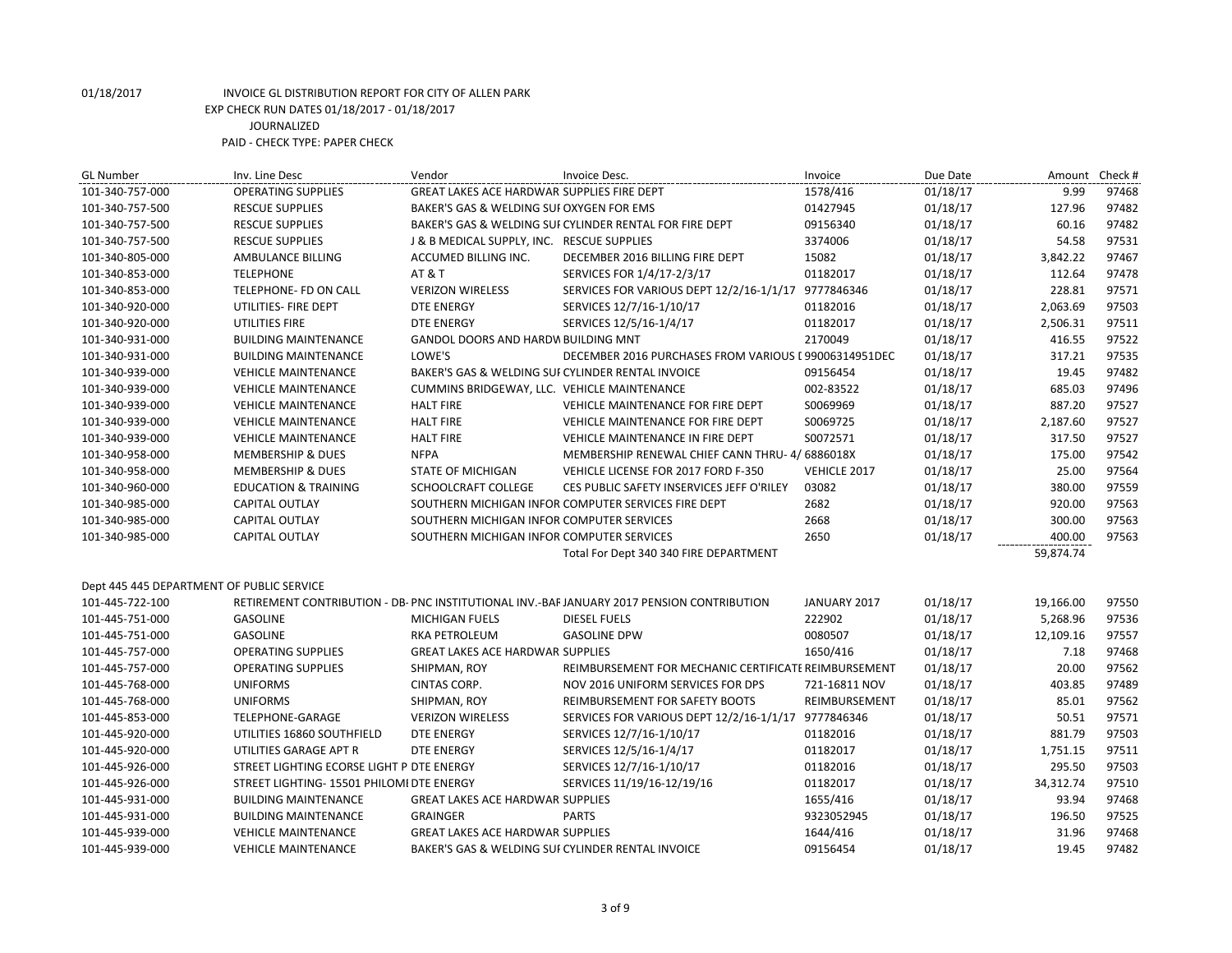| <b>GL Number</b>                          | Inv. Line Desc                            | Vendor                                            | Invoice Desc.                                                                              | Invoice       | Due Date | Amount Check # |       |
|-------------------------------------------|-------------------------------------------|---------------------------------------------------|--------------------------------------------------------------------------------------------|---------------|----------|----------------|-------|
| 101-340-757-000                           | <b>OPERATING SUPPLIES</b>                 | GREAT LAKES ACE HARDWAR SUPPLIES FIRE DEPT        |                                                                                            | 1578/416      | 01/18/17 | 9.99           | 97468 |
| 101-340-757-500                           | <b>RESCUE SUPPLIES</b>                    | BAKER'S GAS & WELDING SUI OXYGEN FOR EMS          |                                                                                            | 01427945      | 01/18/17 | 127.96         | 97482 |
| 101-340-757-500                           | <b>RESCUE SUPPLIES</b>                    |                                                   | BAKER'S GAS & WELDING SUI CYLINDER RENTAL FOR FIRE DEPT                                    | 09156340      | 01/18/17 | 60.16          | 97482 |
| 101-340-757-500                           | <b>RESCUE SUPPLIES</b>                    | J & B MEDICAL SUPPLY, INC. RESCUE SUPPLIES        |                                                                                            | 3374006       | 01/18/17 | 54.58          | 97531 |
| 101-340-805-000                           | AMBULANCE BILLING                         | ACCUMED BILLING INC.                              | DECEMBER 2016 BILLING FIRE DEPT                                                            | 15082         | 01/18/17 | 3,842.22       | 97467 |
| 101-340-853-000                           | <b>TELEPHONE</b>                          | <b>AT &amp; T</b>                                 | SERVICES FOR 1/4/17-2/3/17                                                                 | 01182017      | 01/18/17 | 112.64         | 97478 |
| 101-340-853-000                           | TELEPHONE- FD ON CALL                     | <b>VERIZON WIRELESS</b>                           | SERVICES FOR VARIOUS DEPT 12/2/16-1/1/17 9777846346                                        |               | 01/18/17 | 228.81         | 97571 |
| 101-340-920-000                           | UTILITIES- FIRE DEPT                      | <b>DTE ENERGY</b>                                 | SERVICES 12/7/16-1/10/17                                                                   | 01182016      | 01/18/17 | 2,063.69       | 97503 |
| 101-340-920-000                           | UTILITIES FIRE                            | <b>DTE ENERGY</b>                                 | SERVICES 12/5/16-1/4/17                                                                    | 01182017      | 01/18/17 | 2,506.31       | 97511 |
| 101-340-931-000                           | <b>BUILDING MAINTENANCE</b>               | GANDOL DOORS AND HARDW BUILDING MNT               |                                                                                            | 2170049       | 01/18/17 | 416.55         | 97522 |
| 101-340-931-000                           | <b>BUILDING MAINTENANCE</b>               | LOWE'S                                            | DECEMBER 2016 PURCHASES FROM VARIOUS I 99006314951DEC                                      |               | 01/18/17 | 317.21         | 97535 |
| 101-340-939-000                           | <b>VEHICLE MAINTENANCE</b>                | BAKER'S GAS & WELDING SUF CYLINDER RENTAL INVOICE |                                                                                            | 09156454      | 01/18/17 | 19.45          | 97482 |
| 101-340-939-000                           | <b>VEHICLE MAINTENANCE</b>                | CUMMINS BRIDGEWAY, LLC. VEHICLE MAINTENANCE       |                                                                                            | 002-83522     | 01/18/17 | 685.03         | 97496 |
| 101-340-939-000                           | <b>VEHICLE MAINTENANCE</b>                | <b>HALT FIRE</b>                                  | VEHICLE MAINTENANCE FOR FIRE DEPT                                                          | S0069969      | 01/18/17 | 887.20         | 97527 |
| 101-340-939-000                           | <b>VEHICLE MAINTENANCE</b>                | <b>HALT FIRE</b>                                  | VEHICLE MAINTENANCE FOR FIRE DEPT                                                          | S0069725      | 01/18/17 | 2,187.60       | 97527 |
| 101-340-939-000                           | <b>VEHICLE MAINTENANCE</b>                | <b>HALT FIRE</b>                                  | VEHICLE MAINTENANCE IN FIRE DEPT                                                           | S0072571      | 01/18/17 | 317.50         | 97527 |
| 101-340-958-000                           | <b>MEMBERSHIP &amp; DUES</b>              | <b>NFPA</b>                                       | MEMBERSHIP RENEWAL CHIEF CANN THRU-4/6886018X                                              |               | 01/18/17 | 175.00         | 97542 |
| 101-340-958-000                           | <b>MEMBERSHIP &amp; DUES</b>              | <b>STATE OF MICHIGAN</b>                          | VEHICLE LICENSE FOR 2017 FORD F-350                                                        | VEHICLE 2017  | 01/18/17 | 25.00          | 97564 |
| 101-340-960-000                           | <b>EDUCATION &amp; TRAINING</b>           | SCHOOLCRAFT COLLEGE                               | CES PUBLIC SAFETY INSERVICES JEFF O'RILEY                                                  | 03082         | 01/18/17 | 380.00         | 97559 |
| 101-340-985-000                           | <b>CAPITAL OUTLAY</b>                     |                                                   | SOUTHERN MICHIGAN INFOR COMPUTER SERVICES FIRE DEPT                                        | 2682          | 01/18/17 | 920.00         | 97563 |
| 101-340-985-000                           | CAPITAL OUTLAY                            | SOUTHERN MICHIGAN INFOR COMPUTER SERVICES         |                                                                                            | 2668          | 01/18/17 | 300.00         | 97563 |
| 101-340-985-000                           | CAPITAL OUTLAY                            | SOUTHERN MICHIGAN INFOR COMPUTER SERVICES         |                                                                                            | 2650          | 01/18/17 | 400.00         | 97563 |
|                                           |                                           |                                                   | Total For Dept 340 340 FIRE DEPARTMENT                                                     |               |          | 59,874.74      |       |
|                                           |                                           |                                                   |                                                                                            |               |          |                |       |
| Dept 445 445 DEPARTMENT OF PUBLIC SERVICE |                                           |                                                   |                                                                                            |               |          |                |       |
| 101-445-722-100                           |                                           |                                                   | RETIREMENT CONTRIBUTION - DB- PNC INSTITUTIONAL INV.-BAF JANUARY 2017 PENSION CONTRIBUTION | JANUARY 2017  | 01/18/17 | 19,166.00      | 97550 |
| 101-445-751-000                           | <b>GASOLINE</b>                           | <b>MICHIGAN FUELS</b>                             | <b>DIESEL FUELS</b>                                                                        | 222902        | 01/18/17 | 5,268.96       | 97536 |
| 101-445-751-000                           | GASOLINE                                  | <b>RKA PETROLEUM</b>                              | <b>GASOLINE DPW</b>                                                                        | 0080507       | 01/18/17 | 12,109.16      | 97557 |
| 101-445-757-000                           | <b>OPERATING SUPPLIES</b>                 | <b>GREAT LAKES ACE HARDWAR SUPPLIES</b>           |                                                                                            | 1650/416      | 01/18/17 | 7.18           | 97468 |
| 101-445-757-000                           | <b>OPERATING SUPPLIES</b>                 | SHIPMAN, ROY                                      | REIMBURSEMENT FOR MECHANIC CERTIFICATE REIMBURSEMENT                                       |               | 01/18/17 | 20.00          | 97562 |
| 101-445-768-000                           | <b>UNIFORMS</b>                           | CINTAS CORP.                                      | NOV 2016 UNIFORM SERVICES FOR DPS                                                          | 721-16811 NOV | 01/18/17 | 403.85         | 97489 |
| 101-445-768-000                           | <b>UNIFORMS</b>                           | SHIPMAN, ROY                                      | REIMBURSEMENT FOR SAFETY BOOTS                                                             | REIMBURSEMENT | 01/18/17 | 85.01          | 97562 |
| 101-445-853-000                           | TELEPHONE-GARAGE                          | <b>VERIZON WIRELESS</b>                           | SERVICES FOR VARIOUS DEPT 12/2/16-1/1/17 9777846346                                        |               | 01/18/17 | 50.51          | 97571 |
| 101-445-920-000                           | UTILITIES 16860 SOUTHFIELD                | <b>DTE ENERGY</b>                                 | SERVICES 12/7/16-1/10/17                                                                   | 01182016      | 01/18/17 | 881.79         | 97503 |
| 101-445-920-000                           | UTILITIES GARAGE APT R                    | <b>DTE ENERGY</b>                                 | SERVICES 12/5/16-1/4/17                                                                    | 01182017      | 01/18/17 | 1,751.15       | 97511 |
| 101-445-926-000                           | STREET LIGHTING ECORSE LIGHT P DTE ENERGY |                                                   | SERVICES 12/7/16-1/10/17                                                                   | 01182016      | 01/18/17 | 295.50         | 97503 |
| 101-445-926-000                           | STREET LIGHTING- 15501 PHILOMI DTE ENERGY |                                                   | SERVICES 11/19/16-12/19/16                                                                 | 01182017      | 01/18/17 | 34,312.74      | 97510 |
| 101-445-931-000                           | <b>BUILDING MAINTENANCE</b>               | <b>GREAT LAKES ACE HARDWAR SUPPLIES</b>           |                                                                                            | 1655/416      | 01/18/17 | 93.94          | 97468 |
| 101-445-931-000                           | <b>BUILDING MAINTENANCE</b>               | <b>GRAINGER</b>                                   | <b>PARTS</b>                                                                               | 9323052945    | 01/18/17 | 196.50         | 97525 |
| 101-445-939-000                           | <b>VEHICLE MAINTENANCE</b>                | <b>GREAT LAKES ACE HARDWAR SUPPLIES</b>           |                                                                                            | 1644/416      | 01/18/17 | 31.96          | 97468 |
| 101-445-939-000                           | <b>VEHICLE MAINTENANCE</b>                | BAKER'S GAS & WELDING SUI CYLINDER RENTAL INVOICE |                                                                                            | 09156454      | 01/18/17 | 19.45          | 97482 |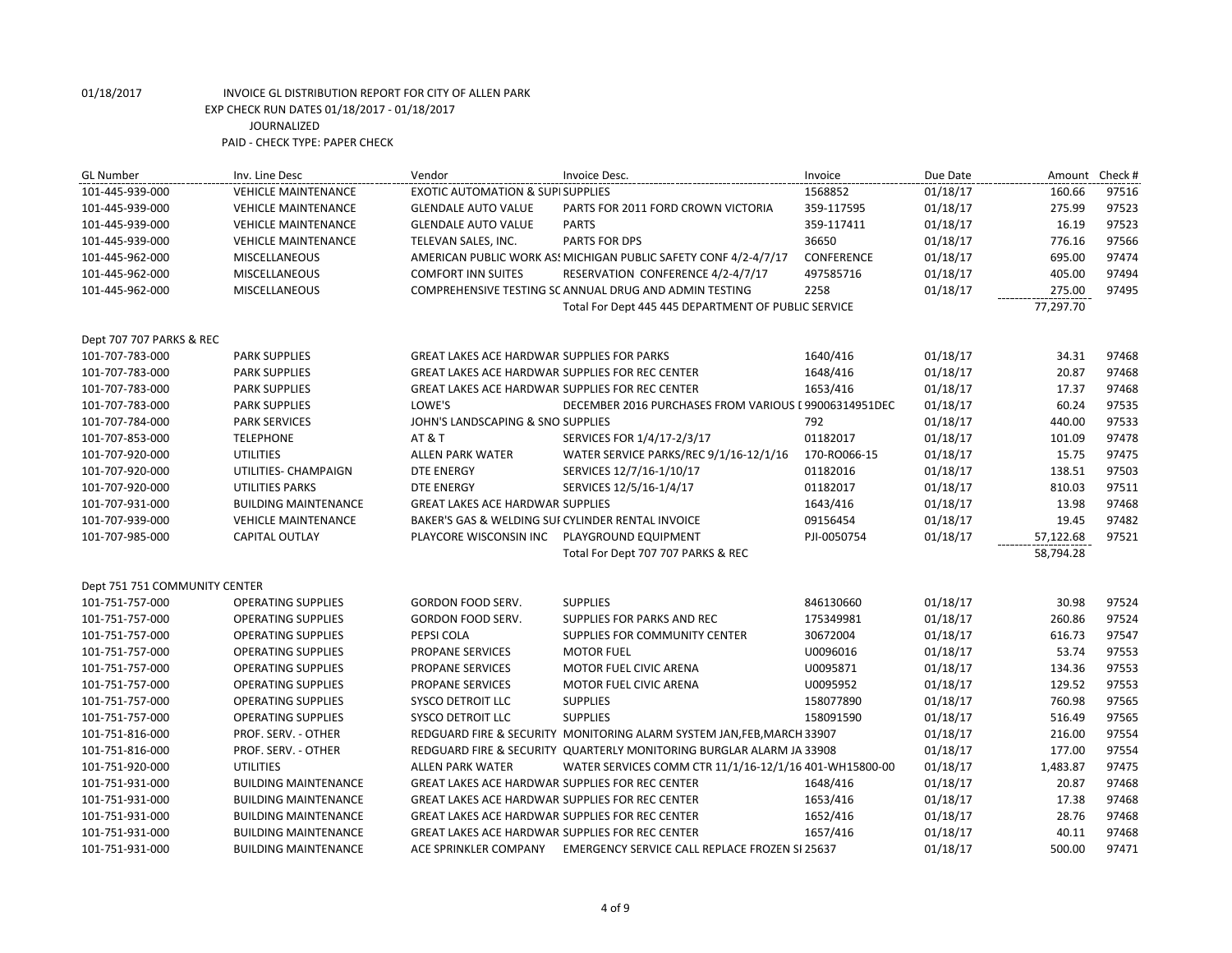| <b>GL Number</b>              | Inv. Line Desc              | Vendor                                                 | Invoice Desc.                                                          | Invoice      | Due Date | Amount    | Check # |
|-------------------------------|-----------------------------|--------------------------------------------------------|------------------------------------------------------------------------|--------------|----------|-----------|---------|
| 101-445-939-000               | <b>VEHICLE MAINTENANCE</b>  | <b>EXOTIC AUTOMATION &amp; SUPI SUPPLIES</b>           |                                                                        | 1568852      | 01/18/17 | 160.66    | 97516   |
| 101-445-939-000               | <b>VEHICLE MAINTENANCE</b>  | <b>GLENDALE AUTO VALUE</b>                             | PARTS FOR 2011 FORD CROWN VICTORIA                                     | 359-117595   | 01/18/17 | 275.99    | 97523   |
| 101-445-939-000               | <b>VEHICLE MAINTENANCE</b>  | <b>GLENDALE AUTO VALUE</b>                             | <b>PARTS</b>                                                           | 359-117411   | 01/18/17 | 16.19     | 97523   |
| 101-445-939-000               | <b>VEHICLE MAINTENANCE</b>  | TELEVAN SALES, INC.                                    | PARTS FOR DPS                                                          | 36650        | 01/18/17 | 776.16    | 97566   |
| 101-445-962-000               | <b>MISCELLANEOUS</b>        |                                                        | AMERICAN PUBLIC WORK AS! MICHIGAN PUBLIC SAFETY CONF 4/2-4/7/17        | CONFERENCE   | 01/18/17 | 695.00    | 97474   |
| 101-445-962-000               | <b>MISCELLANEOUS</b>        | <b>COMFORT INN SUITES</b>                              | RESERVATION CONFERENCE 4/2-4/7/17                                      | 497585716    | 01/18/17 | 405.00    | 97494   |
| 101-445-962-000               | <b>MISCELLANEOUS</b>        |                                                        | COMPREHENSIVE TESTING SC ANNUAL DRUG AND ADMIN TESTING                 | 2258         | 01/18/17 | 275.00    | 97495   |
|                               |                             |                                                        | Total For Dept 445 445 DEPARTMENT OF PUBLIC SERVICE                    |              |          | 77,297.70 |         |
|                               |                             |                                                        |                                                                        |              |          |           |         |
| Dept 707 707 PARKS & REC      |                             |                                                        |                                                                        |              |          |           |         |
| 101-707-783-000               | <b>PARK SUPPLIES</b>        | <b>GREAT LAKES ACE HARDWAR SUPPLIES FOR PARKS</b>      |                                                                        | 1640/416     | 01/18/17 | 34.31     | 97468   |
| 101-707-783-000               | <b>PARK SUPPLIES</b>        | <b>GREAT LAKES ACE HARDWAR SUPPLIES FOR REC CENTER</b> |                                                                        | 1648/416     | 01/18/17 | 20.87     | 97468   |
| 101-707-783-000               | <b>PARK SUPPLIES</b>        | <b>GREAT LAKES ACE HARDWAR SUPPLIES FOR REC CENTER</b> |                                                                        | 1653/416     | 01/18/17 | 17.37     | 97468   |
| 101-707-783-000               | <b>PARK SUPPLIES</b>        | LOWE'S                                                 | DECEMBER 2016 PURCHASES FROM VARIOUS I 99006314951DEC                  |              | 01/18/17 | 60.24     | 97535   |
| 101-707-784-000               | <b>PARK SERVICES</b>        | JOHN'S LANDSCAPING & SNO SUPPLIES                      |                                                                        | 792          | 01/18/17 | 440.00    | 97533   |
| 101-707-853-000               | <b>TELEPHONE</b>            | <b>AT &amp; T</b>                                      | SERVICES FOR 1/4/17-2/3/17                                             | 01182017     | 01/18/17 | 101.09    | 97478   |
| 101-707-920-000               | <b>UTILITIES</b>            | <b>ALLEN PARK WATER</b>                                | WATER SERVICE PARKS/REC 9/1/16-12/1/16                                 | 170-RO066-15 | 01/18/17 | 15.75     | 97475   |
| 101-707-920-000               | UTILITIES- CHAMPAIGN        | <b>DTE ENERGY</b>                                      | SERVICES 12/7/16-1/10/17                                               | 01182016     | 01/18/17 | 138.51    | 97503   |
| 101-707-920-000               | <b>UTILITIES PARKS</b>      | <b>DTE ENERGY</b>                                      | SERVICES 12/5/16-1/4/17                                                | 01182017     | 01/18/17 | 810.03    | 97511   |
| 101-707-931-000               | <b>BUILDING MAINTENANCE</b> | <b>GREAT LAKES ACE HARDWAR SUPPLIES</b>                |                                                                        | 1643/416     | 01/18/17 | 13.98     | 97468   |
| 101-707-939-000               | <b>VEHICLE MAINTENANCE</b>  | BAKER'S GAS & WELDING SUI CYLINDER RENTAL INVOICE      |                                                                        | 09156454     | 01/18/17 | 19.45     | 97482   |
| 101-707-985-000               | CAPITAL OUTLAY              | PLAYCORE WISCONSIN INC PLAYGROUND EQUIPMENT            |                                                                        | PJI-0050754  | 01/18/17 | 57,122.68 | 97521   |
|                               |                             |                                                        | Total For Dept 707 707 PARKS & REC                                     |              |          | 58,794.28 |         |
|                               |                             |                                                        |                                                                        |              |          |           |         |
| Dept 751 751 COMMUNITY CENTER |                             |                                                        |                                                                        |              |          |           |         |
| 101-751-757-000               | <b>OPERATING SUPPLIES</b>   | GORDON FOOD SERV.                                      | <b>SUPPLIES</b>                                                        | 846130660    | 01/18/17 | 30.98     | 97524   |
| 101-751-757-000               | <b>OPERATING SUPPLIES</b>   | <b>GORDON FOOD SERV.</b>                               | <b>SUPPLIES FOR PARKS AND REC</b>                                      | 175349981    | 01/18/17 | 260.86    | 97524   |
| 101-751-757-000               | <b>OPERATING SUPPLIES</b>   | PEPSI COLA                                             | SUPPLIES FOR COMMUNITY CENTER                                          | 30672004     | 01/18/17 | 616.73    | 97547   |
| 101-751-757-000               | <b>OPERATING SUPPLIES</b>   | PROPANE SERVICES                                       | <b>MOTOR FUEL</b>                                                      | U0096016     | 01/18/17 | 53.74     | 97553   |
| 101-751-757-000               | <b>OPERATING SUPPLIES</b>   | PROPANE SERVICES                                       | MOTOR FUEL CIVIC ARENA                                                 | U0095871     | 01/18/17 | 134.36    | 97553   |
| 101-751-757-000               | <b>OPERATING SUPPLIES</b>   | PROPANE SERVICES                                       | MOTOR FUEL CIVIC ARENA                                                 | U0095952     | 01/18/17 | 129.52    | 97553   |
| 101-751-757-000               | <b>OPERATING SUPPLIES</b>   | <b>SYSCO DETROIT LLC</b>                               | <b>SUPPLIES</b>                                                        | 158077890    | 01/18/17 | 760.98    | 97565   |
| 101-751-757-000               | <b>OPERATING SUPPLIES</b>   | <b>SYSCO DETROIT LLC</b>                               | <b>SUPPLIES</b>                                                        | 158091590    | 01/18/17 | 516.49    | 97565   |
| 101-751-816-000               | PROF. SERV. - OTHER         |                                                        | REDGUARD FIRE & SECURITY MONITORING ALARM SYSTEM JAN, FEB, MARCH 33907 |              | 01/18/17 | 216.00    | 97554   |
| 101-751-816-000               | PROF. SERV. - OTHER         |                                                        | REDGUARD FIRE & SECURITY QUARTERLY MONITORING BURGLAR ALARM JA 33908   |              | 01/18/17 | 177.00    | 97554   |
| 101-751-920-000               | <b>UTILITIES</b>            | <b>ALLEN PARK WATER</b>                                | WATER SERVICES COMM CTR 11/1/16-12/1/16 401-WH15800-00                 |              | 01/18/17 | 1,483.87  | 97475   |
| 101-751-931-000               | <b>BUILDING MAINTENANCE</b> | <b>GREAT LAKES ACE HARDWAR SUPPLIES FOR REC CENTER</b> |                                                                        | 1648/416     | 01/18/17 | 20.87     | 97468   |
| 101-751-931-000               | <b>BUILDING MAINTENANCE</b> | <b>GREAT LAKES ACE HARDWAR SUPPLIES FOR REC CENTER</b> |                                                                        | 1653/416     | 01/18/17 | 17.38     | 97468   |
| 101-751-931-000               | <b>BUILDING MAINTENANCE</b> | <b>GREAT LAKES ACE HARDWAR SUPPLIES FOR REC CENTER</b> |                                                                        | 1652/416     | 01/18/17 | 28.76     | 97468   |
| 101-751-931-000               | <b>BUILDING MAINTENANCE</b> | GREAT LAKES ACE HARDWAR SUPPLIES FOR REC CENTER        |                                                                        | 1657/416     | 01/18/17 | 40.11     | 97468   |
| 101-751-931-000               | <b>BUILDING MAINTENANCE</b> |                                                        | ACE SPRINKLER COMPANY EMERGENCY SERVICE CALL REPLACE FROZEN SI 25637   |              | 01/18/17 | 500.00    | 97471   |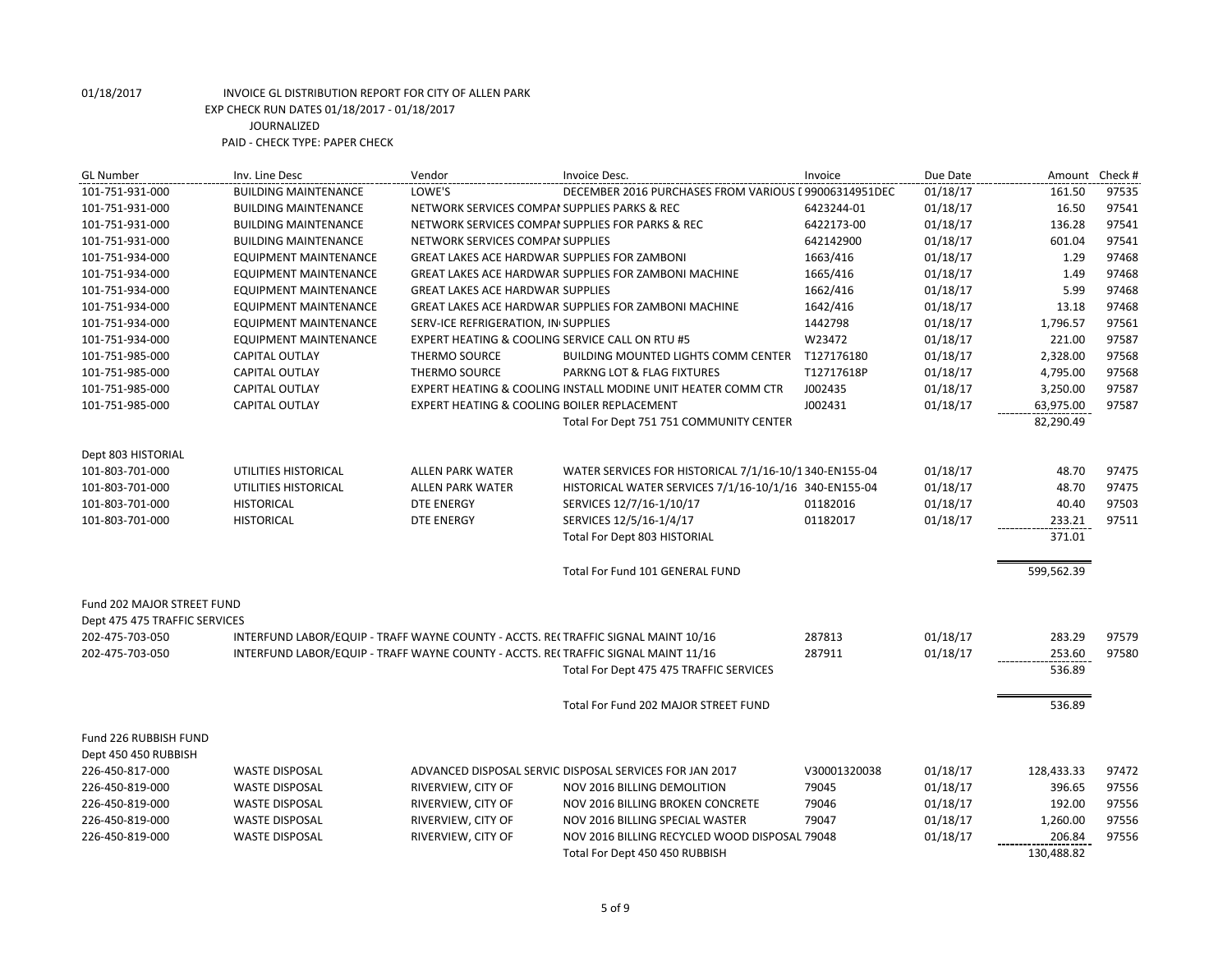| <b>GL Number</b>              | Inv. Line Desc                                                                    | Vendor                                              | Invoice Desc.                                                | Invoice      | Due Date |            | Amount Check # |
|-------------------------------|-----------------------------------------------------------------------------------|-----------------------------------------------------|--------------------------------------------------------------|--------------|----------|------------|----------------|
| 101-751-931-000               | <b>BUILDING MAINTENANCE</b>                                                       | LOWE'S                                              | DECEMBER 2016 PURCHASES FROM VARIOUS I 99006314951DEC        |              | 01/18/17 | 161.50     | 97535          |
| 101-751-931-000               | <b>BUILDING MAINTENANCE</b>                                                       | NETWORK SERVICES COMPAI SUPPLIES PARKS & REC        |                                                              | 6423244-01   | 01/18/17 | 16.50      | 97541          |
| 101-751-931-000               | <b>BUILDING MAINTENANCE</b>                                                       |                                                     | NETWORK SERVICES COMPAI SUPPLIES FOR PARKS & REC             | 6422173-00   | 01/18/17 | 136.28     | 97541          |
| 101-751-931-000               | <b>BUILDING MAINTENANCE</b>                                                       | NETWORK SERVICES COMPAI SUPPLIES                    |                                                              | 642142900    | 01/18/17 | 601.04     | 97541          |
| 101-751-934-000               | EQUIPMENT MAINTENANCE                                                             | <b>GREAT LAKES ACE HARDWAR SUPPLIES FOR ZAMBONI</b> |                                                              | 1663/416     | 01/18/17 | 1.29       | 97468          |
| 101-751-934-000               | <b>EQUIPMENT MAINTENANCE</b>                                                      |                                                     | GREAT LAKES ACE HARDWAR SUPPLIES FOR ZAMBONI MACHINE         | 1665/416     | 01/18/17 | 1.49       | 97468          |
| 101-751-934-000               | <b>EQUIPMENT MAINTENANCE</b>                                                      | <b>GREAT LAKES ACE HARDWAR SUPPLIES</b>             |                                                              | 1662/416     | 01/18/17 | 5.99       | 97468          |
| 101-751-934-000               | <b>EQUIPMENT MAINTENANCE</b>                                                      |                                                     | GREAT LAKES ACE HARDWAR SUPPLIES FOR ZAMBONI MACHINE         | 1642/416     | 01/18/17 | 13.18      | 97468          |
| 101-751-934-000               | <b>EQUIPMENT MAINTENANCE</b>                                                      | SERV-ICE REFRIGERATION, IN SUPPLIES                 |                                                              | 1442798      | 01/18/17 | 1,796.57   | 97561          |
| 101-751-934-000               | EQUIPMENT MAINTENANCE                                                             | EXPERT HEATING & COOLING SERVICE CALL ON RTU #5     |                                                              | W23472       | 01/18/17 | 221.00     | 97587          |
| 101-751-985-000               | <b>CAPITAL OUTLAY</b>                                                             | <b>THERMO SOURCE</b>                                | <b>BUILDING MOUNTED LIGHTS COMM CENTER</b>                   | T127176180   | 01/18/17 | 2,328.00   | 97568          |
| 101-751-985-000               | CAPITAL OUTLAY                                                                    | <b>THERMO SOURCE</b>                                | PARKNG LOT & FLAG FIXTURES                                   | T12717618P   | 01/18/17 | 4,795.00   | 97568          |
| 101-751-985-000               | <b>CAPITAL OUTLAY</b>                                                             |                                                     | EXPERT HEATING & COOLING INSTALL MODINE UNIT HEATER COMM CTR | J002435      | 01/18/17 | 3,250.00   | 97587          |
| 101-751-985-000               | CAPITAL OUTLAY                                                                    | EXPERT HEATING & COOLING BOILER REPLACEMENT         |                                                              | J002431      | 01/18/17 | 63,975.00  | 97587          |
|                               |                                                                                   |                                                     | Total For Dept 751 751 COMMUNITY CENTER                      |              |          | 82,290.49  |                |
|                               |                                                                                   |                                                     |                                                              |              |          |            |                |
| Dept 803 HISTORIAL            |                                                                                   |                                                     |                                                              |              |          |            |                |
| 101-803-701-000               | UTILITIES HISTORICAL                                                              | <b>ALLEN PARK WATER</b>                             | WATER SERVICES FOR HISTORICAL 7/1/16-10/1340-EN155-04        |              | 01/18/17 | 48.70      | 97475          |
| 101-803-701-000               | UTILITIES HISTORICAL                                                              | <b>ALLEN PARK WATER</b>                             | HISTORICAL WATER SERVICES 7/1/16-10/1/16 340-EN155-04        |              | 01/18/17 | 48.70      | 97475          |
| 101-803-701-000               | <b>HISTORICAL</b>                                                                 | <b>DTE ENERGY</b>                                   | SERVICES 12/7/16-1/10/17                                     | 01182016     | 01/18/17 | 40.40      | 97503          |
| 101-803-701-000               | <b>HISTORICAL</b>                                                                 | <b>DTE ENERGY</b>                                   | SERVICES 12/5/16-1/4/17                                      | 01182017     | 01/18/17 | 233.21     | 97511          |
|                               |                                                                                   |                                                     | Total For Dept 803 HISTORIAL                                 |              |          | 371.01     |                |
|                               |                                                                                   |                                                     |                                                              |              |          |            |                |
|                               |                                                                                   |                                                     | Total For Fund 101 GENERAL FUND                              |              |          | 599,562.39 |                |
|                               |                                                                                   |                                                     |                                                              |              |          |            |                |
| Fund 202 MAJOR STREET FUND    |                                                                                   |                                                     |                                                              |              |          |            |                |
| Dept 475 475 TRAFFIC SERVICES |                                                                                   |                                                     |                                                              |              |          |            |                |
| 202-475-703-050               | INTERFUND LABOR/EQUIP - TRAFF WAYNE COUNTY - ACCTS. RECTRAFFIC SIGNAL MAINT 10/16 |                                                     |                                                              | 287813       | 01/18/17 | 283.29     | 97579          |
| 202-475-703-050               | INTERFUND LABOR/EQUIP - TRAFF WAYNE COUNTY - ACCTS. RE(TRAFFIC SIGNAL MAINT 11/16 |                                                     |                                                              | 287911       | 01/18/17 | 253.60     | 97580          |
|                               |                                                                                   |                                                     | Total For Dept 475 475 TRAFFIC SERVICES                      |              |          | 536.89     |                |
|                               |                                                                                   |                                                     |                                                              |              |          |            |                |
|                               |                                                                                   |                                                     | Total For Fund 202 MAJOR STREET FUND                         |              |          | 536.89     |                |
|                               |                                                                                   |                                                     |                                                              |              |          |            |                |
| Fund 226 RUBBISH FUND         |                                                                                   |                                                     |                                                              |              |          |            |                |
| Dept 450 450 RUBBISH          |                                                                                   |                                                     |                                                              |              |          |            |                |
| 226-450-817-000               | <b>WASTE DISPOSAL</b>                                                             |                                                     | ADVANCED DISPOSAL SERVIC DISPOSAL SERVICES FOR JAN 2017      | V30001320038 | 01/18/17 | 128,433.33 | 97472          |
| 226-450-819-000               | <b>WASTE DISPOSAL</b>                                                             | RIVERVIEW, CITY OF                                  | NOV 2016 BILLING DEMOLITION                                  | 79045        | 01/18/17 | 396.65     | 97556          |
| 226-450-819-000               | <b>WASTE DISPOSAL</b>                                                             | RIVERVIEW, CITY OF                                  | NOV 2016 BILLING BROKEN CONCRETE                             | 79046        | 01/18/17 | 192.00     | 97556          |
| 226-450-819-000               | <b>WASTE DISPOSAL</b>                                                             | RIVERVIEW, CITY OF                                  | NOV 2016 BILLING SPECIAL WASTER                              | 79047        | 01/18/17 | 1,260.00   | 97556          |
| 226-450-819-000               | <b>WASTE DISPOSAL</b>                                                             | RIVERVIEW, CITY OF                                  | NOV 2016 BILLING RECYCLED WOOD DISPOSAL 79048                |              | 01/18/17 | 206.84     | 97556          |
|                               |                                                                                   |                                                     | Total For Dept 450 450 RUBBISH                               |              |          | 130,488.82 |                |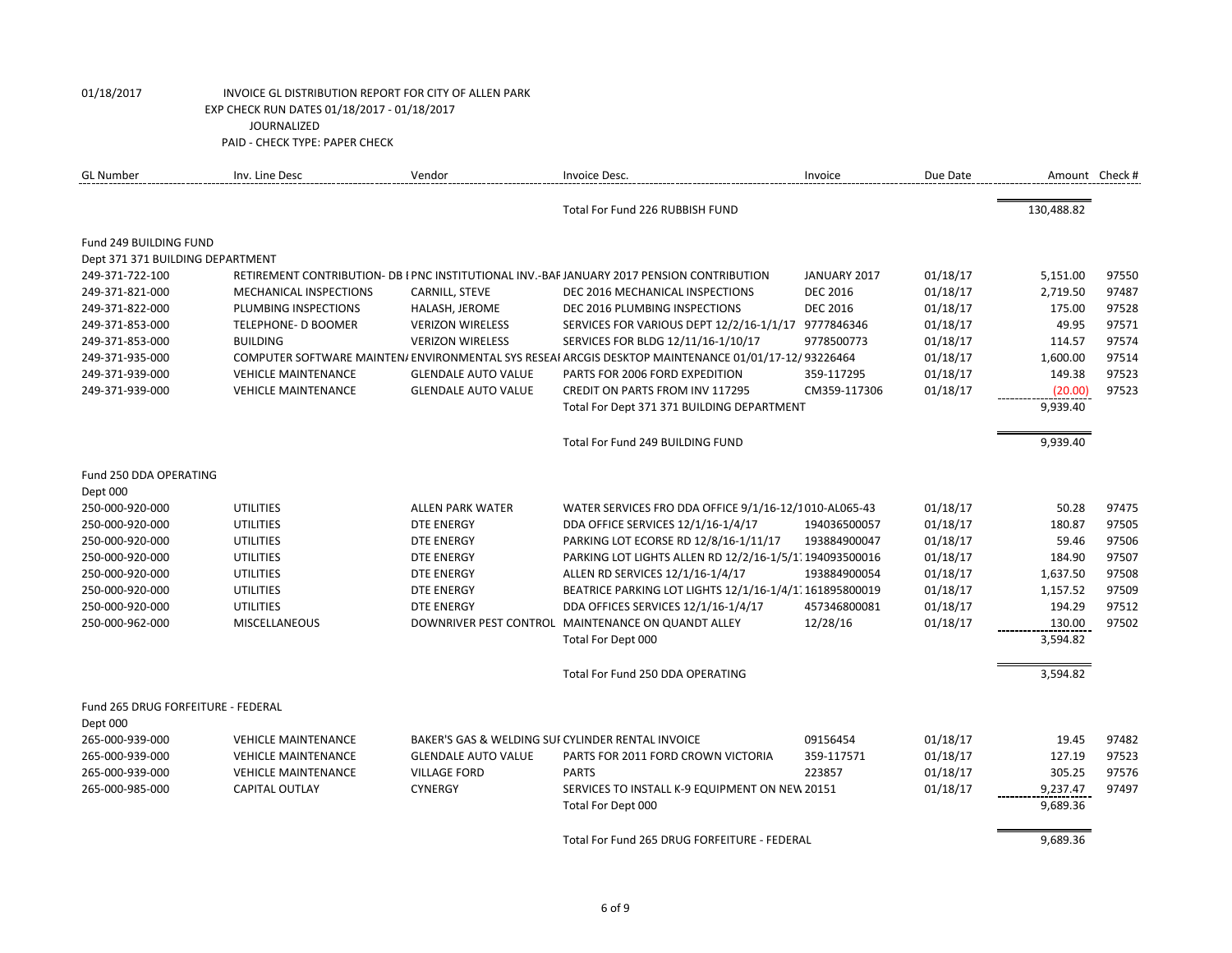| <b>GL Number</b>                   | Inv. Line Desc                | Vendor                     | Invoice Desc.                                                                                      | Invoice         | Due Date | Amount Check # |       |
|------------------------------------|-------------------------------|----------------------------|----------------------------------------------------------------------------------------------------|-----------------|----------|----------------|-------|
|                                    |                               |                            | Total For Fund 226 RUBBISH FUND                                                                    |                 |          | 130,488.82     |       |
| Fund 249 BUILDING FUND             |                               |                            |                                                                                                    |                 |          |                |       |
| Dept 371 371 BUILDING DEPARTMENT   |                               |                            |                                                                                                    |                 |          |                |       |
| 249-371-722-100                    |                               |                            | RETIREMENT CONTRIBUTION- DB I PNC INSTITUTIONAL INV.-BAF JANUARY 2017 PENSION CONTRIBUTION         | JANUARY 2017    | 01/18/17 | 5,151.00       | 97550 |
| 249-371-821-000                    | <b>MECHANICAL INSPECTIONS</b> | CARNILL, STEVE             | DEC 2016 MECHANICAL INSPECTIONS                                                                    | <b>DEC 2016</b> | 01/18/17 | 2,719.50       | 97487 |
| 249-371-822-000                    | PLUMBING INSPECTIONS          | HALASH, JEROME             | DEC 2016 PLUMBING INSPECTIONS                                                                      | <b>DEC 2016</b> | 01/18/17 | 175.00         | 97528 |
| 249-371-853-000                    | TELEPHONE- D BOOMER           | <b>VERIZON WIRELESS</b>    | SERVICES FOR VARIOUS DEPT 12/2/16-1/1/17 9777846346                                                |                 | 01/18/17 | 49.95          | 97571 |
| 249-371-853-000                    | <b>BUILDING</b>               | <b>VERIZON WIRELESS</b>    | SERVICES FOR BLDG 12/11/16-1/10/17                                                                 | 9778500773      | 01/18/17 | 114.57         | 97574 |
| 249-371-935-000                    |                               |                            | COMPUTER SOFTWARE MAINTEN/ENVIRONMENTAL SYS RESEAI ARCGIS DESKTOP MAINTENANCE 01/01/17-12/93226464 |                 | 01/18/17 | 1,600.00       | 97514 |
| 249-371-939-000                    | <b>VEHICLE MAINTENANCE</b>    | <b>GLENDALE AUTO VALUE</b> | PARTS FOR 2006 FORD EXPEDITION                                                                     | 359-117295      | 01/18/17 | 149.38         | 97523 |
| 249-371-939-000                    | <b>VEHICLE MAINTENANCE</b>    | <b>GLENDALE AUTO VALUE</b> | CREDIT ON PARTS FROM INV 117295                                                                    | CM359-117306    | 01/18/17 | (20.00)        | 97523 |
|                                    |                               |                            | Total For Dept 371 371 BUILDING DEPARTMENT                                                         |                 |          | 9,939.40       |       |
|                                    |                               |                            | Total For Fund 249 BUILDING FUND                                                                   |                 |          | 9,939.40       |       |
| Fund 250 DDA OPERATING             |                               |                            |                                                                                                    |                 |          |                |       |
| Dept 000                           |                               |                            |                                                                                                    |                 |          |                |       |
| 250-000-920-000                    | <b>UTILITIES</b>              | <b>ALLEN PARK WATER</b>    | WATER SERVICES FRO DDA OFFICE 9/1/16-12/1010-AL065-43                                              |                 | 01/18/17 | 50.28          | 97475 |
| 250-000-920-000                    | <b>UTILITIES</b>              | <b>DTE ENERGY</b>          | DDA OFFICE SERVICES 12/1/16-1/4/17                                                                 | 194036500057    | 01/18/17 | 180.87         | 97505 |
| 250-000-920-000                    | <b>UTILITIES</b>              | <b>DTE ENERGY</b>          | PARKING LOT ECORSE RD 12/8/16-1/11/17                                                              | 193884900047    | 01/18/17 | 59.46          | 97506 |
| 250-000-920-000                    | <b>UTILITIES</b>              | <b>DTE ENERGY</b>          | PARKING LOT LIGHTS ALLEN RD 12/2/16-1/5/1. 194093500016                                            |                 | 01/18/17 | 184.90         | 97507 |
| 250-000-920-000                    | <b>UTILITIES</b>              | <b>DTE ENERGY</b>          | ALLEN RD SERVICES 12/1/16-1/4/17                                                                   | 193884900054    | 01/18/17 | 1,637.50       | 97508 |
| 250-000-920-000                    | <b>UTILITIES</b>              | <b>DTE ENERGY</b>          | BEATRICE PARKING LOT LIGHTS 12/1/16-1/4/1. 161895800019                                            |                 | 01/18/17 | 1,157.52       | 97509 |
| 250-000-920-000                    | <b>UTILITIES</b>              | <b>DTE ENERGY</b>          | DDA OFFICES SERVICES 12/1/16-1/4/17                                                                | 457346800081    | 01/18/17 | 194.29         | 97512 |
| 250-000-962-000                    | <b>MISCELLANEOUS</b>          |                            | DOWNRIVER PEST CONTROL MAINTENANCE ON QUANDT ALLEY                                                 | 12/28/16        | 01/18/17 | 130.00         | 97502 |
|                                    |                               |                            | Total For Dept 000                                                                                 |                 |          | 3,594.82       |       |
|                                    |                               |                            | Total For Fund 250 DDA OPERATING                                                                   |                 |          | 3,594.82       |       |
| Fund 265 DRUG FORFEITURE - FEDERAL |                               |                            |                                                                                                    |                 |          |                |       |
| Dept 000                           |                               |                            |                                                                                                    |                 |          |                |       |
| 265-000-939-000                    | <b>VEHICLE MAINTENANCE</b>    |                            | BAKER'S GAS & WELDING SUF CYLINDER RENTAL INVOICE                                                  | 09156454        | 01/18/17 | 19.45          | 97482 |
| 265-000-939-000                    | <b>VEHICLE MAINTENANCE</b>    | <b>GLENDALE AUTO VALUE</b> | PARTS FOR 2011 FORD CROWN VICTORIA                                                                 | 359-117571      | 01/18/17 | 127.19         | 97523 |
| 265-000-939-000                    | <b>VEHICLE MAINTENANCE</b>    | <b>VILLAGE FORD</b>        | <b>PARTS</b>                                                                                       | 223857          | 01/18/17 | 305.25         | 97576 |
| 265-000-985-000                    | <b>CAPITAL OUTLAY</b>         | <b>CYNERGY</b>             | SERVICES TO INSTALL K-9 EQUIPMENT ON NEW 20151                                                     |                 | 01/18/17 | 9,237.47       | 97497 |
|                                    |                               |                            | Total For Dept 000                                                                                 |                 |          | 9,689.36       |       |
|                                    |                               |                            | Total For Fund 265 DRUG FORFEITURE - FEDERAL                                                       |                 |          | 9,689.36       |       |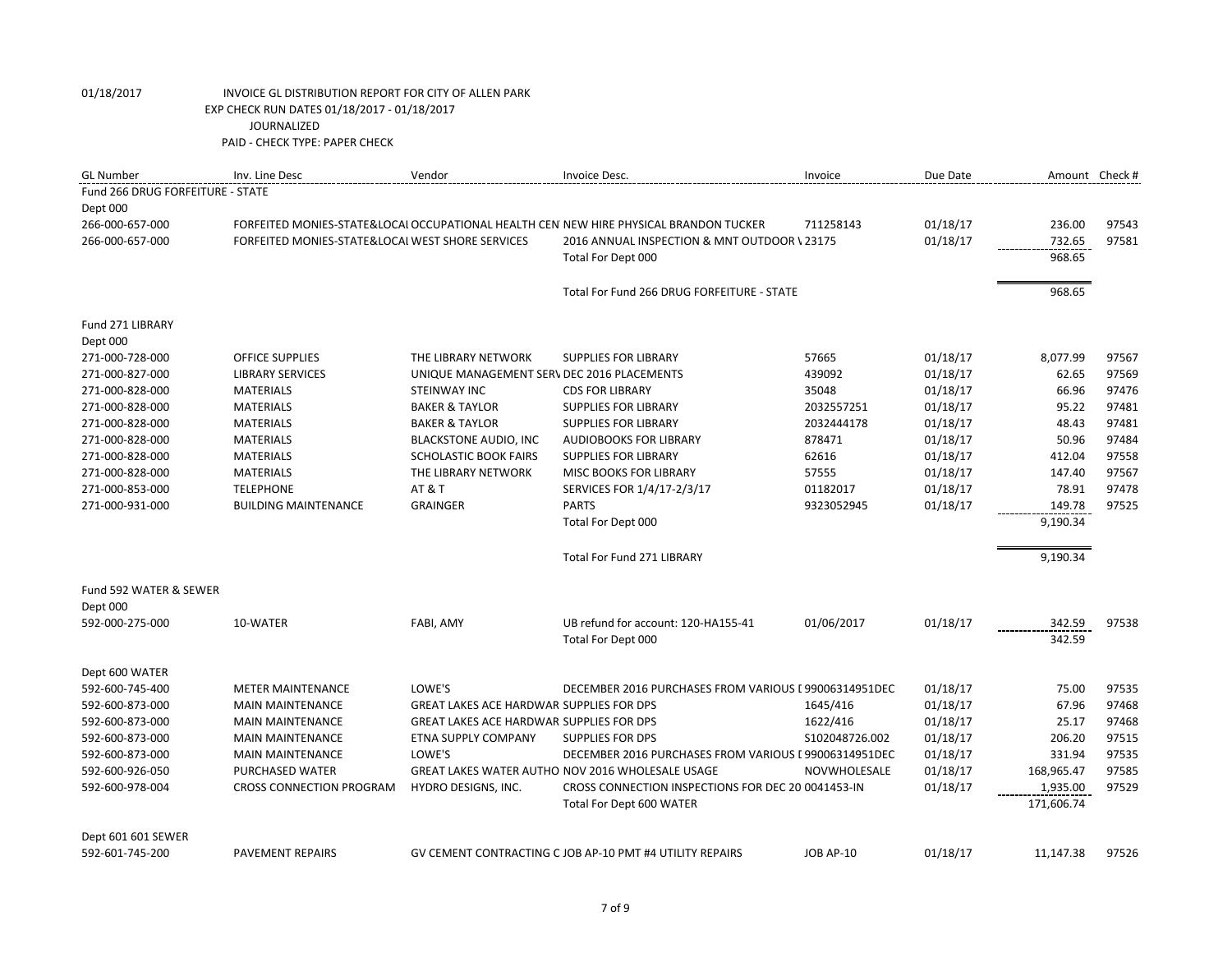| <b>GL Number</b>                 | Inv. Line Desc                                   | Vendor                                          | Invoice Desc.                                                                         | Invoice          | Due Date |            | Amount Check # |
|----------------------------------|--------------------------------------------------|-------------------------------------------------|---------------------------------------------------------------------------------------|------------------|----------|------------|----------------|
| Fund 266 DRUG FORFEITURE - STATE |                                                  |                                                 |                                                                                       |                  |          |            |                |
| Dept 000                         |                                                  |                                                 |                                                                                       |                  |          |            |                |
| 266-000-657-000                  |                                                  |                                                 | FORFEITED MONIES-STATE&LOCAI OCCUPATIONAL HEALTH CEN NEW HIRE PHYSICAL BRANDON TUCKER | 711258143        | 01/18/17 | 236.00     | 97543          |
| 266-000-657-000                  | FORFEITED MONIES-STATE&LOCAL WEST SHORE SERVICES |                                                 | 2016 ANNUAL INSPECTION & MNT OUTDOOR \ 23175                                          |                  | 01/18/17 | 732.65     | 97581          |
|                                  |                                                  |                                                 | Total For Dept 000                                                                    |                  |          | 968.65     |                |
|                                  |                                                  |                                                 |                                                                                       |                  |          |            |                |
|                                  |                                                  |                                                 | Total For Fund 266 DRUG FORFEITURE - STATE                                            |                  |          | 968.65     |                |
| Fund 271 LIBRARY                 |                                                  |                                                 |                                                                                       |                  |          |            |                |
| Dept 000                         |                                                  |                                                 |                                                                                       |                  |          |            |                |
| 271-000-728-000                  | <b>OFFICE SUPPLIES</b>                           | THE LIBRARY NETWORK                             | <b>SUPPLIES FOR LIBRARY</b>                                                           | 57665            | 01/18/17 | 8,077.99   | 97567          |
| 271-000-827-000                  | <b>LIBRARY SERVICES</b>                          | UNIQUE MANAGEMENT SERV DEC 2016 PLACEMENTS      |                                                                                       | 439092           | 01/18/17 | 62.65      | 97569          |
| 271-000-828-000                  | <b>MATERIALS</b>                                 | STEINWAY INC                                    | <b>CDS FOR LIBRARY</b>                                                                | 35048            | 01/18/17 | 66.96      | 97476          |
| 271-000-828-000                  | <b>MATERIALS</b>                                 | <b>BAKER &amp; TAYLOR</b>                       | <b>SUPPLIES FOR LIBRARY</b>                                                           | 2032557251       | 01/18/17 | 95.22      | 97481          |
| 271-000-828-000                  | <b>MATERIALS</b>                                 | <b>BAKER &amp; TAYLOR</b>                       | <b>SUPPLIES FOR LIBRARY</b>                                                           | 2032444178       | 01/18/17 | 48.43      | 97481          |
| 271-000-828-000                  | <b>MATERIALS</b>                                 | <b>BLACKSTONE AUDIO, INC</b>                    | <b>AUDIOBOOKS FOR LIBRARY</b>                                                         | 878471           | 01/18/17 | 50.96      | 97484          |
| 271-000-828-000                  | <b>MATERIALS</b>                                 | <b>SCHOLASTIC BOOK FAIRS</b>                    | <b>SUPPLIES FOR LIBRARY</b>                                                           | 62616            | 01/18/17 | 412.04     | 97558          |
| 271-000-828-000                  | <b>MATERIALS</b>                                 | THE LIBRARY NETWORK                             | <b>MISC BOOKS FOR LIBRARY</b>                                                         | 57555            | 01/18/17 | 147.40     | 97567          |
| 271-000-853-000                  | <b>TELEPHONE</b>                                 | <b>AT &amp; T</b>                               | SERVICES FOR 1/4/17-2/3/17                                                            | 01182017         | 01/18/17 | 78.91      | 97478          |
| 271-000-931-000                  | <b>BUILDING MAINTENANCE</b>                      | <b>GRAINGER</b>                                 | <b>PARTS</b>                                                                          | 9323052945       | 01/18/17 | 149.78     | 97525          |
|                                  |                                                  |                                                 | Total For Dept 000                                                                    |                  |          | 9,190.34   |                |
|                                  |                                                  |                                                 | Total For Fund 271 LIBRARY                                                            |                  |          | 9,190.34   |                |
| Fund 592 WATER & SEWER           |                                                  |                                                 |                                                                                       |                  |          |            |                |
| Dept 000                         |                                                  |                                                 |                                                                                       |                  |          |            |                |
| 592-000-275-000                  | 10-WATER                                         | FABI, AMY                                       | UB refund for account: 120-HA155-41                                                   | 01/06/2017       | 01/18/17 | 342.59     | 97538          |
|                                  |                                                  |                                                 | Total For Dept 000                                                                    |                  |          | 342.59     |                |
| Dept 600 WATER                   |                                                  |                                                 |                                                                                       |                  |          |            |                |
| 592-600-745-400                  | <b>METER MAINTENANCE</b>                         | LOWE'S                                          | DECEMBER 2016 PURCHASES FROM VARIOUS I 99006314951DEC                                 |                  | 01/18/17 | 75.00      | 97535          |
| 592-600-873-000                  | <b>MAIN MAINTENANCE</b>                          | <b>GREAT LAKES ACE HARDWAR SUPPLIES FOR DPS</b> |                                                                                       | 1645/416         | 01/18/17 | 67.96      | 97468          |
| 592-600-873-000                  | <b>MAIN MAINTENANCE</b>                          | GREAT LAKES ACE HARDWAR SUPPLIES FOR DPS        |                                                                                       | 1622/416         | 01/18/17 | 25.17      | 97468          |
| 592-600-873-000                  | <b>MAIN MAINTENANCE</b>                          | ETNA SUPPLY COMPANY                             | SUPPLIES FOR DPS                                                                      | S102048726.002   | 01/18/17 | 206.20     | 97515          |
| 592-600-873-000                  | <b>MAIN MAINTENANCE</b>                          | LOWE'S                                          | DECEMBER 2016 PURCHASES FROM VARIOUS I 99006314951DEC                                 |                  | 01/18/17 | 331.94     | 97535          |
| 592-600-926-050                  | PURCHASED WATER                                  |                                                 | GREAT LAKES WATER AUTHO NOV 2016 WHOLESALE USAGE                                      | NOVWHOLESALE     | 01/18/17 | 168,965.47 | 97585          |
| 592-600-978-004                  | <b>CROSS CONNECTION PROGRAM</b>                  | HYDRO DESIGNS, INC.                             | CROSS CONNECTION INSPECTIONS FOR DEC 20 0041453-IN                                    |                  | 01/18/17 | 1,935.00   | 97529          |
|                                  |                                                  |                                                 | Total For Dept 600 WATER                                                              |                  |          | 171,606.74 |                |
| Dept 601 601 SEWER               |                                                  |                                                 |                                                                                       |                  |          |            |                |
| 592-601-745-200                  | PAVEMENT REPAIRS                                 |                                                 | GV CEMENT CONTRACTING C JOB AP-10 PMT #4 UTILITY REPAIRS                              | <b>JOB AP-10</b> | 01/18/17 | 11,147.38  | 97526          |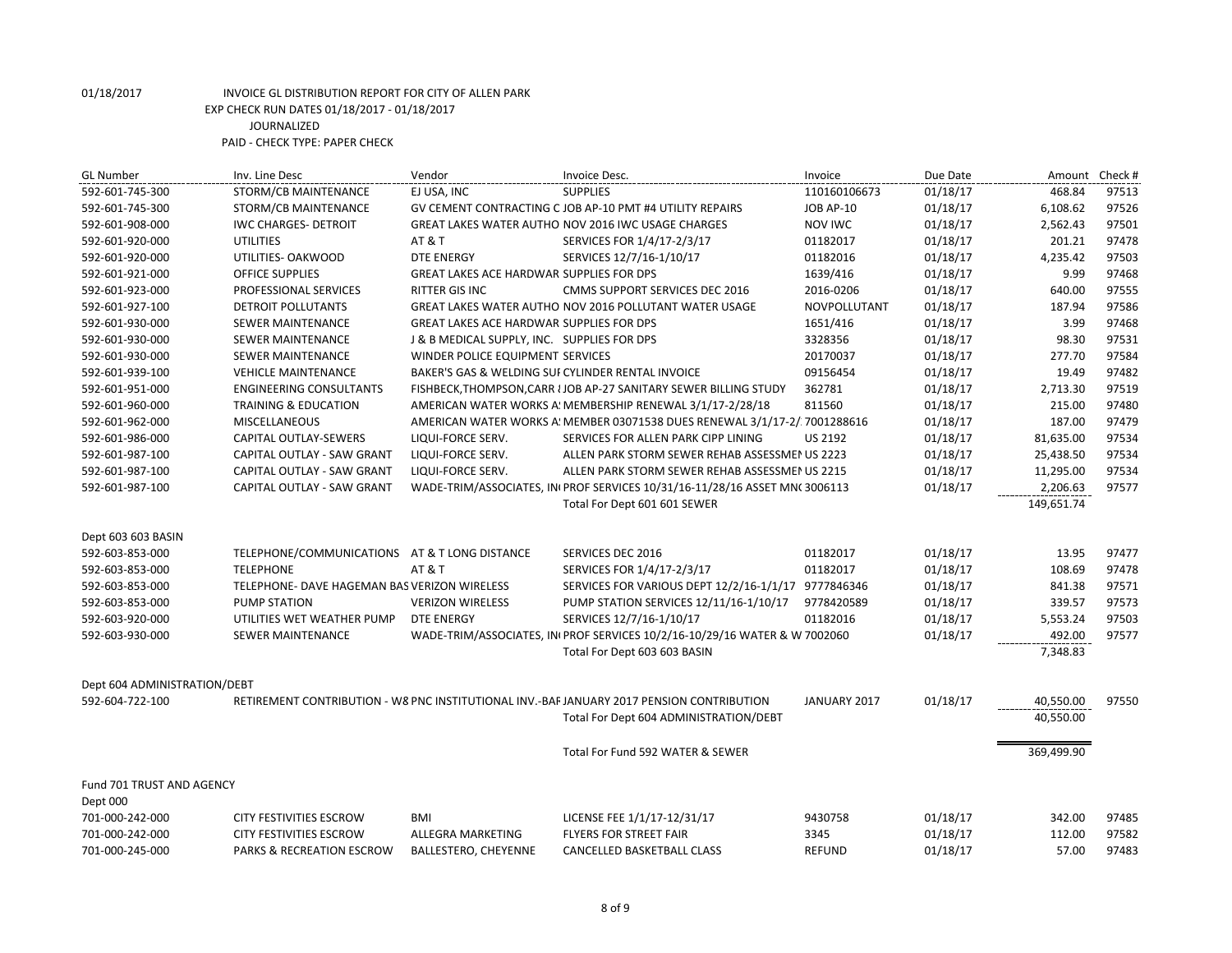| <b>GL Number</b>             | Inv. Line Desc                                | Vendor                                            | Invoice Desc.                                                                            | Invoice             | Due Date | Amount     | Check # |
|------------------------------|-----------------------------------------------|---------------------------------------------------|------------------------------------------------------------------------------------------|---------------------|----------|------------|---------|
| 592-601-745-300              | STORM/CB MAINTENANCE                          | EJ USA, INC                                       | <b>SUPPLIES</b>                                                                          | 110160106673        | 01/18/17 | 468.84     | 97513   |
| 592-601-745-300              | STORM/CB MAINTENANCE                          |                                                   | GV CEMENT CONTRACTING C JOB AP-10 PMT #4 UTILITY REPAIRS                                 | <b>JOB AP-10</b>    | 01/18/17 | 6,108.62   | 97526   |
| 592-601-908-000              | <b>IWC CHARGES- DETROIT</b>                   |                                                   | GREAT LAKES WATER AUTHO NOV 2016 IWC USAGE CHARGES                                       | NOV IWC             | 01/18/17 | 2,562.43   | 97501   |
| 592-601-920-000              | <b>UTILITIES</b>                              | <b>AT &amp; T</b>                                 | SERVICES FOR 1/4/17-2/3/17                                                               | 01182017            | 01/18/17 | 201.21     | 97478   |
| 592-601-920-000              | UTILITIES- OAKWOOD                            | <b>DTE ENERGY</b>                                 | SERVICES 12/7/16-1/10/17                                                                 | 01182016            | 01/18/17 | 4,235.42   | 97503   |
| 592-601-921-000              | <b>OFFICE SUPPLIES</b>                        | GREAT LAKES ACE HARDWAR SUPPLIES FOR DPS          |                                                                                          | 1639/416            | 01/18/17 | 9.99       | 97468   |
| 592-601-923-000              | PROFESSIONAL SERVICES                         | <b>RITTER GIS INC</b>                             | CMMS SUPPORT SERVICES DEC 2016                                                           | 2016-0206           | 01/18/17 | 640.00     | 97555   |
| 592-601-927-100              | <b>DETROIT POLLUTANTS</b>                     |                                                   | GREAT LAKES WATER AUTHO NOV 2016 POLLUTANT WATER USAGE                                   | <b>NOVPOLLUTANT</b> | 01/18/17 | 187.94     | 97586   |
| 592-601-930-000              | SEWER MAINTENANCE                             | GREAT LAKES ACE HARDWAR SUPPLIES FOR DPS          |                                                                                          | 1651/416            | 01/18/17 | 3.99       | 97468   |
| 592-601-930-000              | SEWER MAINTENANCE                             | J & B MEDICAL SUPPLY, INC. SUPPLIES FOR DPS       |                                                                                          | 3328356             | 01/18/17 | 98.30      | 97531   |
| 592-601-930-000              | <b>SEWER MAINTENANCE</b>                      | WINDER POLICE EQUIPMENT SERVICES                  |                                                                                          | 20170037            | 01/18/17 | 277.70     | 97584   |
| 592-601-939-100              | <b>VEHICLE MAINTENANCE</b>                    | BAKER'S GAS & WELDING SUI CYLINDER RENTAL INVOICE |                                                                                          | 09156454            | 01/18/17 | 19.49      | 97482   |
| 592-601-951-000              | <b>ENGINEERING CONSULTANTS</b>                |                                                   | FISHBECK, THOMPSON, CARR I JOB AP-27 SANITARY SEWER BILLING STUDY                        | 362781              | 01/18/17 | 2,713.30   | 97519   |
| 592-601-960-000              | <b>TRAINING &amp; EDUCATION</b>               |                                                   | AMERICAN WATER WORKS A: MEMBERSHIP RENEWAL 3/1/17-2/28/18                                | 811560              | 01/18/17 | 215.00     | 97480   |
| 592-601-962-000              | <b>MISCELLANEOUS</b>                          |                                                   | AMERICAN WATER WORKS A! MEMBER 03071538 DUES RENEWAL 3/1/17-2/ 7001288616                |                     | 01/18/17 | 187.00     | 97479   |
| 592-601-986-000              | CAPITAL OUTLAY-SEWERS                         | LIQUI-FORCE SERV.                                 | SERVICES FOR ALLEN PARK CIPP LINING                                                      | <b>US 2192</b>      | 01/18/17 | 81,635.00  | 97534   |
| 592-601-987-100              | CAPITAL OUTLAY - SAW GRANT                    | LIQUI-FORCE SERV.                                 | ALLEN PARK STORM SEWER REHAB ASSESSMENUS 2223                                            |                     | 01/18/17 | 25,438.50  | 97534   |
| 592-601-987-100              | CAPITAL OUTLAY - SAW GRANT                    | LIQUI-FORCE SERV.                                 | ALLEN PARK STORM SEWER REHAB ASSESSMENUS 2215                                            |                     | 01/18/17 | 11,295.00  | 97534   |
| 592-601-987-100              | CAPITAL OUTLAY - SAW GRANT                    |                                                   | WADE-TRIM/ASSOCIATES, IN PROF SERVICES 10/31/16-11/28/16 ASSET MN(3006113                |                     | 01/18/17 | 2,206.63   | 97577   |
|                              |                                               |                                                   | Total For Dept 601 601 SEWER                                                             |                     |          | 149,651.74 |         |
| Dept 603 603 BASIN           |                                               |                                                   |                                                                                          |                     |          |            |         |
| 592-603-853-000              | TELEPHONE/COMMUNICATIONS AT & T LONG DISTANCE |                                                   | SERVICES DEC 2016                                                                        | 01182017            | 01/18/17 | 13.95      | 97477   |
| 592-603-853-000              | <b>TELEPHONE</b>                              | <b>AT &amp; T</b>                                 | SERVICES FOR 1/4/17-2/3/17                                                               | 01182017            | 01/18/17 | 108.69     | 97478   |
| 592-603-853-000              | TELEPHONE- DAVE HAGEMAN BAS VERIZON WIRELESS  |                                                   | SERVICES FOR VARIOUS DEPT 12/2/16-1/1/17 9777846346                                      |                     | 01/18/17 | 841.38     | 97571   |
| 592-603-853-000              | <b>PUMP STATION</b>                           | <b>VERIZON WIRELESS</b>                           | PUMP STATION SERVICES 12/11/16-1/10/17                                                   | 9778420589          | 01/18/17 | 339.57     | 97573   |
| 592-603-920-000              | UTILITIES WET WEATHER PUMP                    | <b>DTE ENERGY</b>                                 | SERVICES 12/7/16-1/10/17                                                                 | 01182016            | 01/18/17 | 5,553.24   | 97503   |
| 592-603-930-000              | <b>SEWER MAINTENANCE</b>                      |                                                   | WADE-TRIM/ASSOCIATES, INIPROF SERVICES 10/2/16-10/29/16 WATER & W 7002060                |                     | 01/18/17 | 492.00     | 97577   |
|                              |                                               |                                                   | Total For Dept 603 603 BASIN                                                             |                     |          | 7,348.83   |         |
| Dept 604 ADMINISTRATION/DEBT |                                               |                                                   |                                                                                          |                     |          |            |         |
| 592-604-722-100              |                                               |                                                   | RETIREMENT CONTRIBUTION - W8 PNC INSTITUTIONAL INV.-BAFJANUARY 2017 PENSION CONTRIBUTION | JANUARY 2017        | 01/18/17 | 40,550.00  | 97550   |
|                              |                                               |                                                   | Total For Dept 604 ADMINISTRATION/DEBT                                                   |                     |          | 40,550.00  |         |
|                              |                                               |                                                   | Total For Fund 592 WATER & SEWER                                                         |                     |          | 369,499.90 |         |
|                              |                                               |                                                   |                                                                                          |                     |          |            |         |
| Fund 701 TRUST AND AGENCY    |                                               |                                                   |                                                                                          |                     |          |            |         |
| Dept 000                     |                                               |                                                   |                                                                                          |                     |          |            |         |
| 701-000-242-000              | <b>CITY FESTIVITIES ESCROW</b>                | <b>BMI</b>                                        | LICENSE FEE 1/1/17-12/31/17                                                              | 9430758             | 01/18/17 | 342.00     | 97485   |
| 701-000-242-000              | <b>CITY FESTIVITIES ESCROW</b>                | ALLEGRA MARKETING                                 | <b>FLYERS FOR STREET FAIR</b>                                                            | 3345                | 01/18/17 | 112.00     | 97582   |
| 701-000-245-000              | PARKS & RECREATION ESCROW                     | BALLESTERO, CHEYENNE                              | CANCELLED BASKETBALL CLASS                                                               | <b>REFUND</b>       | 01/18/17 | 57.00      | 97483   |